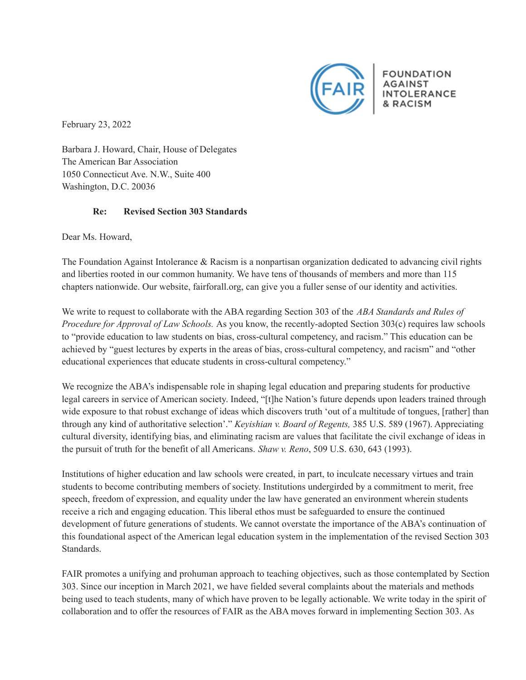

**FOUNDATION INTOLERANCE** & RACISM

February 23, 2022

Barbara J. Howard, Chair, House of Delegates The American Bar Association 1050 Connecticut Ave. N.W., Suite 400 Washington, D.C. 20036

## **Re: Revised Section 303 Standards**

Dear Ms. Howard,

The Foundation Against Intolerance & Racism is a nonpartisan organization dedicated to advancing civil rights and liberties rooted in our common humanity. We have tens of thousands of members and more than 115 chapters nationwide. Our website, fairforall.org, can give you a fuller sense of our identity and activities.

We write to request to collaborate with the ABA regarding Section 303 of the *ABA Standards and Rules of Procedure for Approval of Law Schools.* As you know, the recently-adopted Section 303(c) requires law schools to "provide education to law students on bias, cross-cultural competency, and racism." This education can be achieved by "guest lectures by experts in the areas of bias, cross-cultural competency, and racism" and "other educational experiences that educate students in cross-cultural competency."

We recognize the ABA's indispensable role in shaping legal education and preparing students for productive legal careers in service of American society. Indeed, "[t]he Nation's future depends upon leaders trained through wide exposure to that robust exchange of ideas which discovers truth 'out of a multitude of tongues, [rather] than through any kind of authoritative selection'." *Keyishian v. Board of Regents,* 385 U.S. 589 (1967). Appreciating cultural diversity, identifying bias, and eliminating racism are values that facilitate the civil exchange of ideas in the pursuit of truth for the benefit of all Americans. *Shaw v. Reno*, 509 U.S. 630, 643 (1993).

Institutions of higher education and law schools were created, in part, to inculcate necessary virtues and train students to become contributing members of society. Institutions undergirded by a commitment to merit, free speech, freedom of expression, and equality under the law have generated an environment wherein students receive a rich and engaging education. This liberal ethos must be safeguarded to ensure the continued development of future generations of students. We cannot overstate the importance of the ABA's continuation of this foundational aspect of the American legal education system in the implementation of the revised Section 303 Standards.

FAIR promotes a unifying and prohuman approach to teaching objectives, such as those contemplated by Section 303. Since our inception in March 2021, we have fielded several complaints about the materials and methods being used to teach students, many of which have proven to be legally actionable. We write today in the spirit of collaboration and to offer the resources of FAIR as the ABA moves forward in implementing Section 303. As